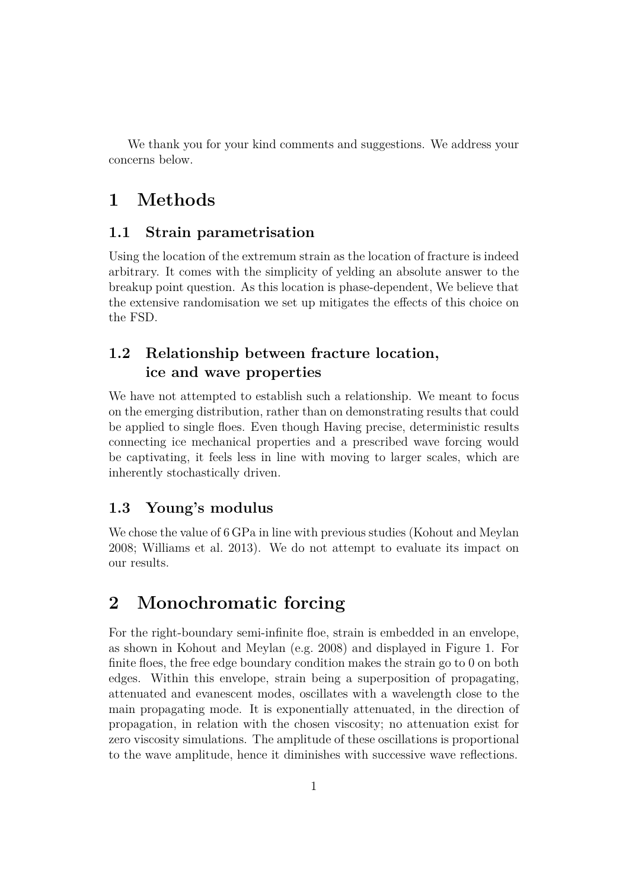We thank you for your kind comments and suggestions. We address your concerns below.

# **1 Methods**

#### **1.1 Strain parametrisation**

Using the location of the extremum strain as the location of fracture is indeed arbitrary. It comes with the simplicity of yelding an absolute answer to the breakup point question. As this location is phase-dependent, We believe that the extensive randomisation we set up mitigates the effects of this choice on the FSD.

### **1.2 Relationship between fracture location, ice and wave properties**

We have not attempted to establish such a relationship. We meant to focus on the emerging distribution, rather than on demonstrating results that could be applied to single floes. Even though Having precise, deterministic results connecting ice mechanical properties and a prescribed wave forcing would be captivating, it feels less in line with moving to larger scales, which are inherently stochastically driven.

#### **1.3 Young's modulus**

We chose the value of 6 GPa in line with previous studies (Kohout and Meylan 2008; Williams et al. 2013). We do not attempt to evaluate its impact on our results.

## **2 Monochromatic forcing**

For the right-boundary semi-infinite floe, strain is embedded in an envelope, as shown in Kohout and Meylan (e.g. 2008) and displayed in Figure 1. For finite floes, the free edge boundary condition makes the strain go to 0 on both edges. Within this envelope, strain being a superposition of propagating, attenuated and evanescent modes, oscillates with a wavelength close to the main propagating mode. It is exponentially attenuated, in the direction of propagation, in relation with the chosen viscosity; no attenuation exist for zero viscosity simulations. The amplitude of these oscillations is proportional to the wave amplitude, hence it diminishes with successive wave reflections.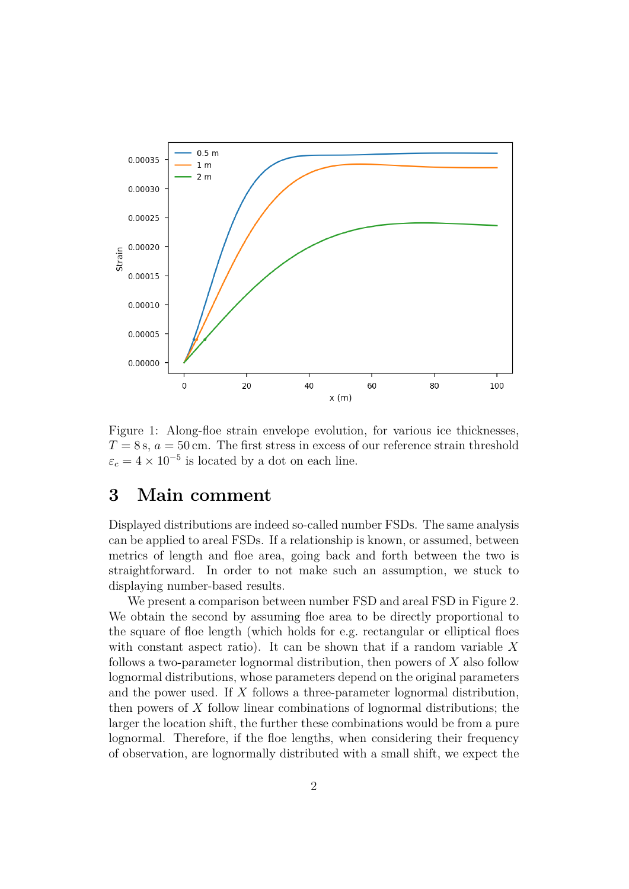

Figure 1: Along-floe strain envelope evolution, for various ice thicknesses,  $T = 8$  s,  $a = 50$  cm. The first stress in excess of our reference strain threshold  $\varepsilon_c = 4 \times 10^{-5}$  is located by a dot on each line.

#### **3 Main comment**

Displayed distributions are indeed so-called number FSDs. The same analysis can be applied to areal FSDs. If a relationship is known, or assumed, between metrics of length and floe area, going back and forth between the two is straightforward. In order to not make such an assumption, we stuck to displaying number-based results.

We present a comparison between number FSD and areal FSD in Figure 2. We obtain the second by assuming floe area to be directly proportional to the square of floe length (which holds for e.g. rectangular or elliptical floes with constant aspect ratio). It can be shown that if a random variable  $X$ follows a two-parameter lognormal distribution, then powers of X also follow lognormal distributions, whose parameters depend on the original parameters and the power used. If  $X$  follows a three-parameter lognormal distribution, then powers of  $X$  follow linear combinations of lognormal distributions; the larger the location shift, the further these combinations would be from a pure lognormal. Therefore, if the floe lengths, when considering their frequency of observation, are lognormally distributed with a small shift, we expect the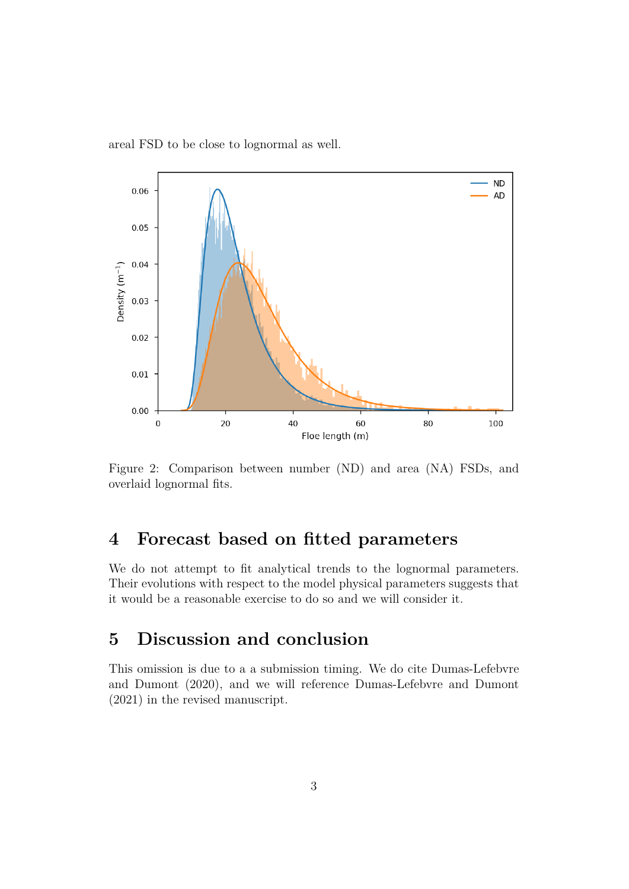areal FSD to be close to lognormal as well.



Figure 2: Comparison between number (ND) and area (NA) FSDs, and overlaid lognormal fits.

## **4 Forecast based on fitted parameters**

We do not attempt to fit analytical trends to the lognormal parameters. Their evolutions with respect to the model physical parameters suggests that it would be a reasonable exercise to do so and we will consider it.

## **5 Discussion and conclusion**

This omission is due to a a submission timing. We do cite Dumas-Lefebvre and Dumont (2020), and we will reference Dumas-Lefebvre and Dumont (2021) in the revised manuscript.